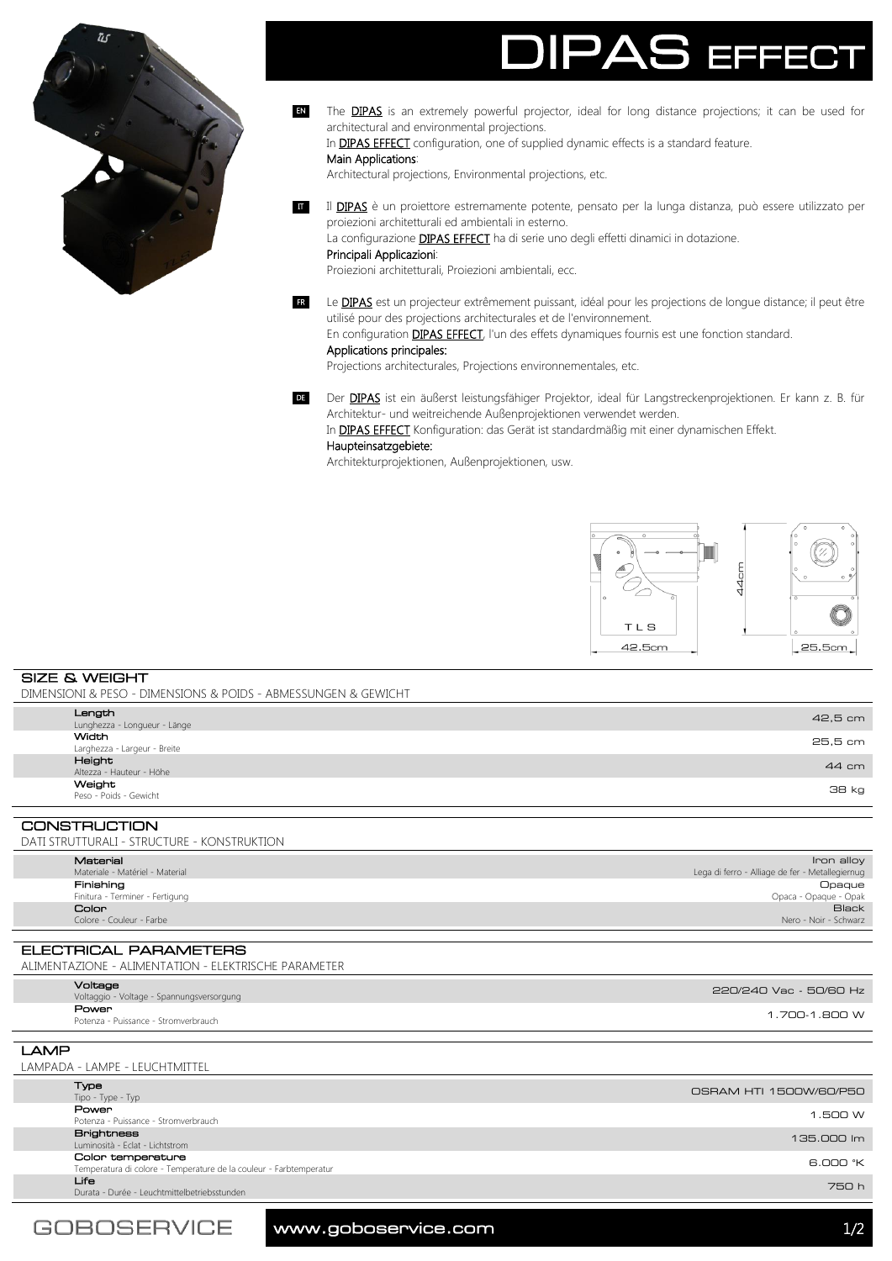

# EFFE

- The **DIPAS** is an extremely powerful projector, ideal for long distance projections; it can be used for architectural and environmental projections. EN
	- In DIPAS EFFECT configuration, one of supplied dynamic effects is a standard feature.

### Main Applications:

Architectural projections, Environmental projections, etc.

Il DIPAS è un proiettore estremamente potente, pensato per la lunga distanza, può essere utilizzato per proiezioni architetturali ed ambientali in esterno. La configurazione **DIPAS EFFECT** ha di serie uno degli effetti dinamici in dotazione. Principali Applicazioni:

Proiezioni architetturali, Proiezioni ambientali, ecc.

Le **DIPAS** est un projecteur extrêmement puissant, idéal pour les projections de longue distance; il peut être utilisé pour des projections architecturales et de l'environnement. FR

En configuration **DIPAS EFFECT**, l'un des effets dynamiques fournis est une fonction standard.

# Applications principales:

Projections architecturales, Projections environnementales, etc.

DE Der DIPAS ist ein äußerst leistungsfähiger Projektor, ideal für Langstreckenprojektionen. Er kann z. B. für Architektur- und weitreichende Außenprojektionen verwendet werden.

In **DIPAS EFFECT** Konfiguration: das Gerät ist standardmäßig mit einer dynamischen Effekt.

## Haupteinsatzgebiete:

Architekturprojektionen, Außenprojektionen, usw.



SIZE & WEIGHT DIMENSIONI & PESO - DIMENSIONS & POIDS - ABMESSUNGEN & GEWICHT

|              | Length<br>Lunghezza - Longueur - Länge       | 42,5 cm |
|--------------|----------------------------------------------|---------|
|              | <b>Width</b><br>Larghezza - Largeur - Breite | 25,5 cm |
|              | Height<br>Altezza - Hauteur - Höhe           | 44 cm   |
|              | Weight<br>Peso - Poids - Gewicht             | 38 kg   |
|              |                                              |         |
| CONSTRUCTION |                                              |         |

CONSTRUCTION DATI STRUTTURALI - STRUCTURE - KONSTRUKTION

| י וטוואטווניושא - ווטווטושטווני - וואטוויטוווייטוווי |                                 |                                                 |  |
|------------------------------------------------------|---------------------------------|-------------------------------------------------|--|
|                                                      | Material                        | Iron alloy                                      |  |
|                                                      | Materiale - Matériel - Material | Lega di ferro - Alliage de fer - Metallegiernug |  |
|                                                      | Finishing                       | Opaque                                          |  |
|                                                      | Finitura - Terminer - Fertigung | Opaca - Opaque - Opak                           |  |
|                                                      | <b>Color</b>                    | <b>Black</b>                                    |  |
|                                                      | Colore - Couleur - Farbe        | Nero - Noir - Schwarz                           |  |

ELECTRICAL PARAMETERS ALIMENTAZIONE - ALIMENTATION - ELEKTRISCHE PARAMETER

| Voltage<br>Voltaggio - Voltage - Spannungsversorgung | 220/240 Vac - 50/60 Hz |
|------------------------------------------------------|------------------------|
| Power<br>Potenza - Puissance - Stromverbrauch        | 1.700-1.800 W          |

LAMP LAMPADA - LAMPE - LEUCHTMITTEL Type<br>Tipo - Type - Typ Tipo - Type - Type - Type - Type - Type - Type - Type - Type - Type - Type - Type - Type - Type - Type - Type - Type - Type - Type - Type - Type - Type - Type - Type - Type - Type - Type - Type - Type - Type - Type - Type - Political Political Accords (1.500 W) and the strong of the strong of the strong of the strong of the strong of the strong of the strong of the strong of the strong of the strong of the strong of the strong of the strong **Brightness**<br>Luminosità - Eclat - Lichtstrom Luminosità - Eclat - Lichtstrom 135.000 lm 135.000 lm 135.000 lm 135.000 lm 135.000 lm 135.000 lm 135.000 lm 1  $B$  OOO  $K$ Color temperature Temperatura di colore - Temperature de la couleur - Farbtemperatur 6.000 °K m von de Leuchtmittelbetriebsstunden von de Amerikaanse verschieden van de Amerikaanse verschieden van de Amerikaanse verschieden van de Amerikaanse verschieden van de Amerikaanse verschieden van de Amerikaanse verschieden